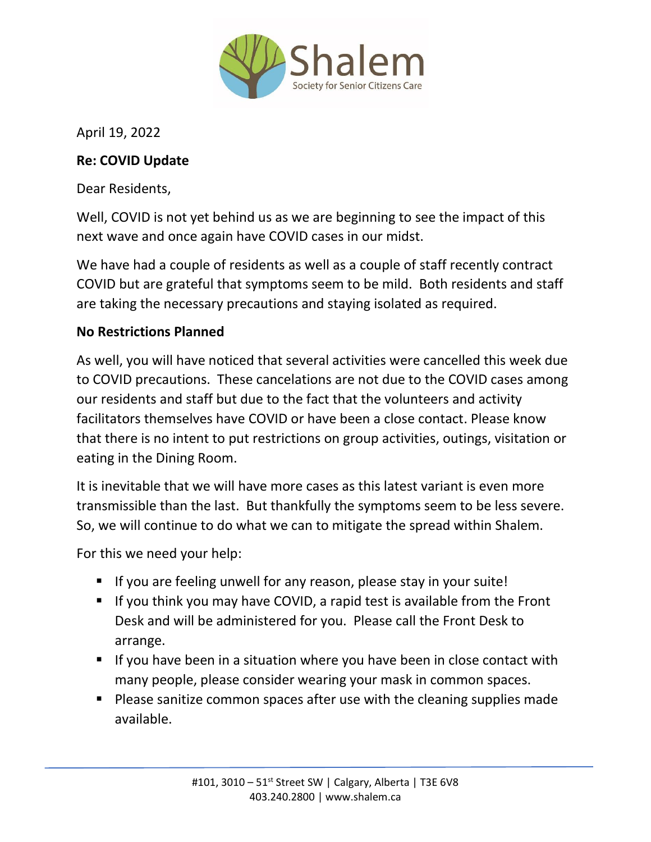

April 19, 2022

## **Re: COVID Update**

Dear Residents,

Well, COVID is not yet behind us as we are beginning to see the impact of this next wave and once again have COVID cases in our midst.

We have had a couple of residents as well as a couple of staff recently contract COVID but are grateful that symptoms seem to be mild. Both residents and staff are taking the necessary precautions and staying isolated as required.

## **No Restrictions Planned**

As well, you will have noticed that several activities were cancelled this week due to COVID precautions. These cancelations are not due to the COVID cases among our residents and staff but due to the fact that the volunteers and activity facilitators themselves have COVID or have been a close contact. Please know that there is no intent to put restrictions on group activities, outings, visitation or eating in the Dining Room.

It is inevitable that we will have more cases as this latest variant is even more transmissible than the last. But thankfully the symptoms seem to be less severe. So, we will continue to do what we can to mitigate the spread within Shalem.

For this we need your help:

- If you are feeling unwell for any reason, please stay in your suite!
- If you think you may have COVID, a rapid test is available from the Front Desk and will be administered for you. Please call the Front Desk to arrange.
- If you have been in a situation where you have been in close contact with many people, please consider wearing your mask in common spaces.
- Please sanitize common spaces after use with the cleaning supplies made available.